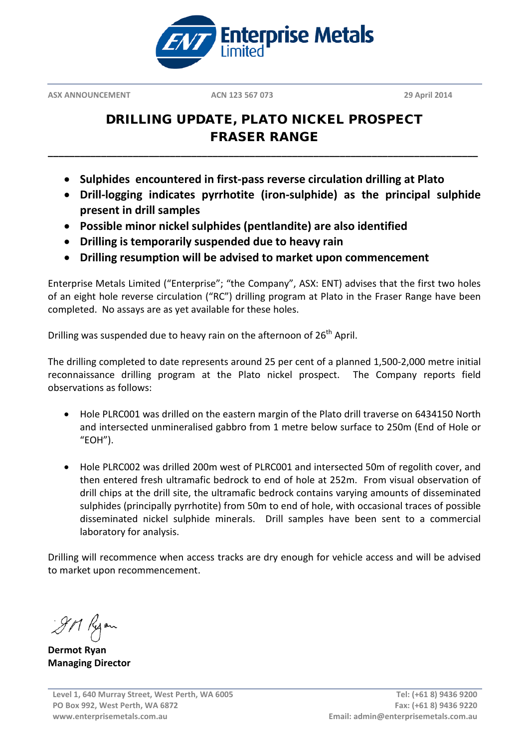

**ASX ANNOUNCEMENT ACN 123 567 073 29 April 2014**

# DRILLING UPDATE, PLATO NICKEL PROSPECT FRASER RANGE

**\_\_\_\_\_\_\_\_\_\_\_\_\_\_\_\_\_\_\_\_\_\_\_\_\_\_\_\_\_\_\_\_\_\_\_\_\_\_\_\_\_\_\_\_\_\_\_\_\_\_\_\_\_\_\_\_\_\_\_\_\_\_\_\_\_\_\_\_\_\_\_\_\_\_\_\_\_\_\_\_\_**

- **Sulphides encountered in first-pass reverse circulation drilling at Plato**
- **Drill-logging indicates pyrrhotite (iron-sulphide) as the principal sulphide present in drill samples**
- **Possible minor nickel sulphides (pentlandite) are also identified**
- **Drilling is temporarily suspended due to heavy rain**
- **Drilling resumption will be advised to market upon commencement**

Enterprise Metals Limited ("Enterprise"; "the Company", ASX: ENT) advises that the first two holes of an eight hole reverse circulation ("RC") drilling program at Plato in the Fraser Range have been completed. No assays are as yet available for these holes.

Drilling was suspended due to heavy rain on the afternoon of 26<sup>th</sup> April.

The drilling completed to date represents around 25 per cent of a planned 1,500-2,000 metre initial reconnaissance drilling program at the Plato nickel prospect. The Company reports field observations as follows:

- Hole PLRC001 was drilled on the eastern margin of the Plato drill traverse on 6434150 North and intersected unmineralised gabbro from 1 metre below surface to 250m (End of Hole or "EOH").
- Hole PLRC002 was drilled 200m west of PLRC001 and intersected 50m of regolith cover, and then entered fresh ultramafic bedrock to end of hole at 252m. From visual observation of drill chips at the drill site, the ultramafic bedrock contains varying amounts of disseminated sulphides (principally pyrrhotite) from 50m to end of hole, with occasional traces of possible disseminated nickel sulphide minerals. Drill samples have been sent to a commercial laboratory for analysis.

Drilling will recommence when access tracks are dry enough for vehicle access and will be advised to market upon recommencement.

9M Ryon

**Dermot Ryan Managing Director**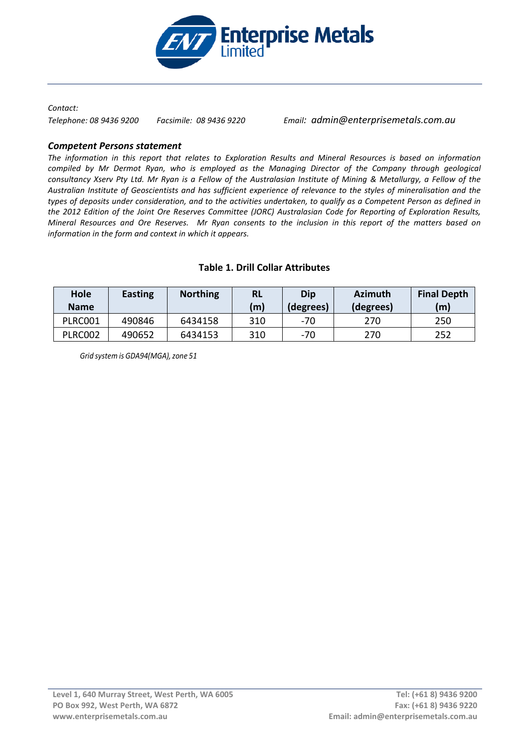

#### *Contact:*

*Telephone: 08 9436 9200 Facsimile: 08 9436 9220 Email: admin@enterprisemetals.com.au*

### *Competent Persons statement*

*The information in this report that relates to Exploration Results and Mineral Resources is based on information compiled by Mr Dermot Ryan, who is employed as the Managing Director of the Company through geological consultancy Xserv Pty Ltd. Mr Ryan is a Fellow of the Australasian Institute of Mining & Metallurgy, a Fellow of the Australian Institute of Geoscientists and has sufficient experience of relevance to the styles of mineralisation and the types of deposits under consideration, and to the activities undertaken, to qualify as a Competent Person as defined in the 2012 Edition of the Joint Ore Reserves Committee (JORC) Australasian Code for Reporting of Exploration Results, Mineral Resources and Ore Reserves. Mr Ryan consents to the inclusion in this report of the matters based on information in the form and context in which it appears.*

| Hole<br><b>Name</b> | <b>Easting</b> | <b>Northing</b> | <b>RL</b><br>(m) | Dip<br>(degrees) | <b>Azimuth</b><br>(degrees) | <b>Final Depth</b><br>(m) |
|---------------------|----------------|-----------------|------------------|------------------|-----------------------------|---------------------------|
| PLRC001             | 490846         | 6434158         | 310              | -70              | 270                         | 250                       |
| <b>PLRC002</b>      | 490652         | 6434153         | 310              | -70              | 270                         | 252                       |

#### **Table 1. Drill Collar Attributes**

*Grid system is GDA94(MGA),zone 51*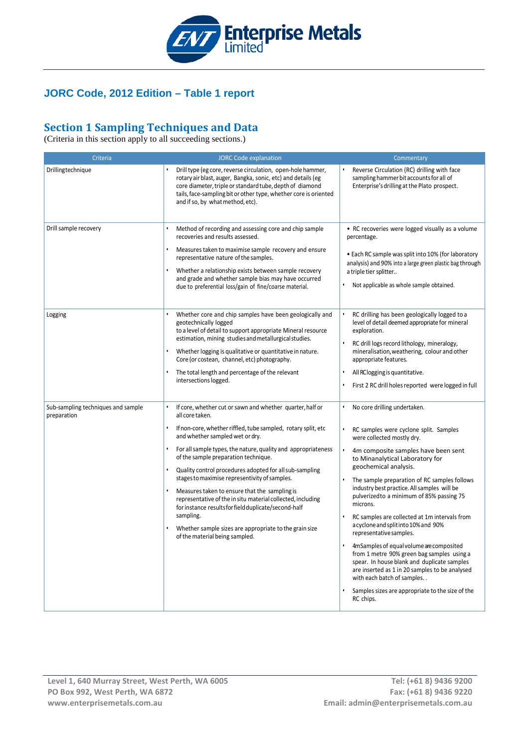

### **JORC Code, 2012 Edition – Table 1 report**

# **Section 1 Sampling Techniques and Data**

(Criteria in this section apply to all succeeding sections.)

| Criteria                                          | <b>JORC Code explanation</b>                                                                                                                                                                                                                                                                                                                                                                                                                                                                                                                                                                                                                                                                        | Commentary                                                                                                                                                                                                                                                                                                                                                                                                                                                                                                                                                                                                                                                                                                                                                                                              |  |  |
|---------------------------------------------------|-----------------------------------------------------------------------------------------------------------------------------------------------------------------------------------------------------------------------------------------------------------------------------------------------------------------------------------------------------------------------------------------------------------------------------------------------------------------------------------------------------------------------------------------------------------------------------------------------------------------------------------------------------------------------------------------------------|---------------------------------------------------------------------------------------------------------------------------------------------------------------------------------------------------------------------------------------------------------------------------------------------------------------------------------------------------------------------------------------------------------------------------------------------------------------------------------------------------------------------------------------------------------------------------------------------------------------------------------------------------------------------------------------------------------------------------------------------------------------------------------------------------------|--|--|
| Drillingtechnique                                 | Drill type (eg core, reverse circulation, open-hole hammer,<br>rotary air blast, auger, Bangka, sonic, etc) and details (eg<br>core diameter, triple or standard tube, depth of diamond<br>tails, face-sampling bit or other type, whether core is oriented<br>and if so, by what method, etc).                                                                                                                                                                                                                                                                                                                                                                                                     | Reverse Circulation (RC) drilling with face<br>sampling hammer bit accounts for all of<br>Enterprise's drilling at the Plato prospect.                                                                                                                                                                                                                                                                                                                                                                                                                                                                                                                                                                                                                                                                  |  |  |
| Drill sample recovery                             | Method of recording and assessing core and chip sample<br>recoveries and results assessed.<br>Measures taken to maximise sample recovery and ensure<br>representative nature of the samples.<br>Whether a relationship exists between sample recovery<br>and grade and whether sample bias may have occurred<br>due to preferential loss/gain of fine/coarse material.                                                                                                                                                                                                                                                                                                                              | • RC recoveries were logged visually as a volume<br>percentage.<br>• Each RC sample was split into 10% (for laboratory<br>analysis) and 90% into a large green plastic bag through<br>a triple tier splitter<br>Not applicable as whole sample obtained.                                                                                                                                                                                                                                                                                                                                                                                                                                                                                                                                                |  |  |
| Logging                                           | Whether core and chip samples have been geologically and<br>geotechnically logged<br>to a level of detail to support appropriate Mineral resource<br>estimation, mining studies and metallurgical studies.<br>Whether logging is qualitative or quantitative in nature.<br>Core (or costean, channel, etc) photography.<br>The total length and percentage of the relevant<br>intersections logged.                                                                                                                                                                                                                                                                                                 | RC drilling has been geologically logged to a<br>level of detail deemed appropriate for mineral<br>exploration.<br>RC drill logs record lithology, mineralogy,<br>mineralisation, weathering, colour and other<br>appropriate features.<br>All RClogging is quantitative.<br>First 2 RC drill holes reported were logged in full                                                                                                                                                                                                                                                                                                                                                                                                                                                                        |  |  |
| Sub-sampling techniques and sample<br>preparation | $\bullet$<br>If core, whether cut or sawn and whether quarter, half or<br>all core taken.<br>If non-core, whether riffled, tube sampled, rotary split, etc<br>and whether sampled wet or dry.<br>For all sample types, the nature, quality and appropriateness<br>of the sample preparation technique.<br>Quality control procedures adopted for all sub-sampling<br>stages to maximise representivity of samples.<br>Measures taken to ensure that the sampling is<br>representative of the in situ material collected, including<br>for instance results for field duplicate/second-half<br>sampling.<br>Whether sample sizes are appropriate to the grain size<br>of the material being sampled. | No core drilling undertaken.<br>$\bullet$<br>RC samples were cyclone split. Samples<br>$\bullet$<br>were collected mostly dry.<br>4m composite samples have been sent<br>to Minanalytical Laboratory for<br>geochemical analysis.<br>The sample preparation of RC samples follows<br>industry best practice. All samples will be<br>pulverized to a minimum of 85% passing 75<br>microns.<br>RC samples are collected at 1m intervals from<br>a cyclone and split into 10% and 90%<br>representative samples.<br>4mSamples of equal volume are composited<br>from 1 metre 90% green bag samples using a<br>spear. In house blank and duplicate samples<br>are inserted as 1 in 20 samples to be analysed<br>with each batch of samples<br>Samples sizes are appropriate to the size of the<br>RC chips. |  |  |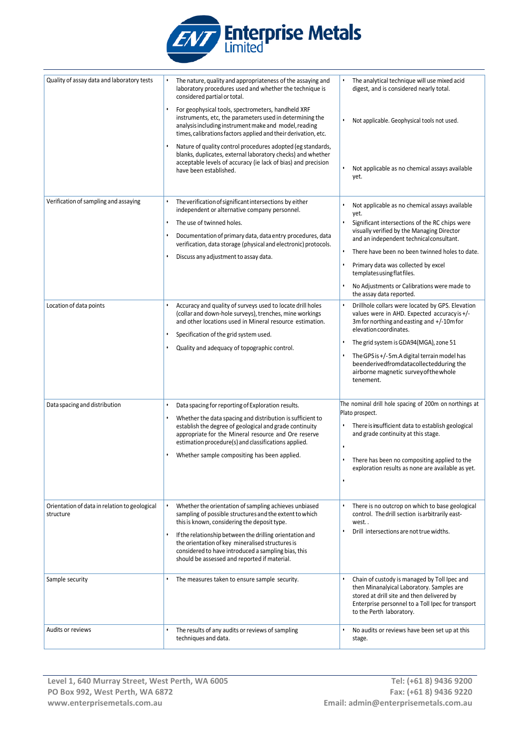

| Quality of assay data and laboratory tests                 |           | The nature, quality and appropriateness of the assaying and<br>laboratory procedures used and whether the technique is<br>considered partial or total.                                                                                    |           | The analytical technique will use mixed acid<br>digest, and is considered nearly total.                                                                                                                                  |
|------------------------------------------------------------|-----------|-------------------------------------------------------------------------------------------------------------------------------------------------------------------------------------------------------------------------------------------|-----------|--------------------------------------------------------------------------------------------------------------------------------------------------------------------------------------------------------------------------|
|                                                            |           | For geophysical tools, spectrometers, handheld XRF<br>instruments, etc, the parameters used in determining the<br>analysis including instrument make and model, reading<br>times, calibrations factors applied and their derivation, etc. |           | Not applicable. Geophysical tools not used.                                                                                                                                                                              |
|                                                            |           | Nature of quality control procedures adopted (eg standards,<br>blanks, duplicates, external laboratory checks) and whether<br>acceptable levels of accuracy (ie lack of bias) and precision<br>have been established.                     |           | Not applicable as no chemical assays available<br>yet.                                                                                                                                                                   |
| Verification of sampling and assaying                      |           | The verification of significant intersections by either<br>independent or alternative company personnel.                                                                                                                                  |           | Not applicable as no chemical assays available<br>yet.                                                                                                                                                                   |
|                                                            | $\bullet$ | The use of twinned holes.                                                                                                                                                                                                                 |           | Significant intersections of the RC chips were<br>visually verified by the Managing Director                                                                                                                             |
|                                                            |           | Documentation of primary data, data entry procedures, data<br>verification, data storage (physical and electronic) protocols.<br>Discuss any adjustment to assay data.                                                                    |           | and an independent technical consultant.                                                                                                                                                                                 |
|                                                            |           |                                                                                                                                                                                                                                           |           | There have been no been twinned holes to date.                                                                                                                                                                           |
|                                                            |           |                                                                                                                                                                                                                                           |           | Primary data was collected by excel<br>templates using flat files.                                                                                                                                                       |
|                                                            |           |                                                                                                                                                                                                                                           |           | No Adjustments or Calibrations were made to<br>the assay data reported.                                                                                                                                                  |
| Location of data points                                    |           | Accuracy and quality of surveys used to locate drill holes<br>(collar and down-hole surveys), trenches, mine workings<br>and other locations used in Mineral resource estimation.                                                         |           | Drillhole collars were located by GPS. Elevation<br>values were in AHD. Expected accuracy is +/-<br>3m for northing and easting and +/-10m for<br>elevation coordinates.                                                 |
|                                                            |           | Specification of the grid system used.<br>Quality and adequacy of topographic control.                                                                                                                                                    |           | The grid system is GDA94(MGA), zone 51                                                                                                                                                                                   |
|                                                            |           |                                                                                                                                                                                                                                           |           | The GPS is +/-5m.A digital terrain model has<br>beenderivedfromdatacollectedduring the<br>airborne magnetic survey of the whole<br>tenement.                                                                             |
| Data spacing and distribution                              |           | Data spacing for reporting of Exploration results.                                                                                                                                                                                        |           | The nominal drill hole spacing of 200m on northings at                                                                                                                                                                   |
|                                                            |           | Whether the data spacing and distribution is sufficient to<br>establish the degree of geological and grade continuity<br>appropriate for the Mineral resource and Ore reserve<br>estimation procedure(s) and classifications applied.     |           | Plato prospect.<br>There is insufficient data to establish geological<br>and grade continuity at this stage.                                                                                                             |
|                                                            |           | Whether sample compositing has been applied.                                                                                                                                                                                              | $\bullet$ | There has been no compositing applied to the<br>exploration results as none are available as yet.                                                                                                                        |
|                                                            |           |                                                                                                                                                                                                                                           |           |                                                                                                                                                                                                                          |
| Orientation of data in relation to geological<br>structure |           | Whether the orientation of sampling achieves unbiased<br>sampling of possible structures and the extent to which<br>this is known, considering the deposit type.                                                                          |           | There is no outcrop on which to base geological<br>control. The drill section is arbitrarily east-<br>west                                                                                                               |
|                                                            |           | If the relationship between the drilling orientation and<br>the orientation of key mineralised structures is<br>considered to have introduced a sampling bias, this<br>should be assessed and reported if material.                       | $\bullet$ | Drill intersections are not true widths.                                                                                                                                                                                 |
| Sample security                                            |           | The measures taken to ensure sample security.                                                                                                                                                                                             |           | Chain of custody is managed by Toll Ipec and<br>then Minanalyical Laboratory. Samples are<br>stored at drill site and then delivered by<br>Enterprise personnel to a Toll Ipec for transport<br>to the Perth laboratory. |
| Audits or reviews                                          |           | The results of any audits or reviews of sampling<br>techniques and data.                                                                                                                                                                  |           | No audits or reviews have been set up at this<br>stage.                                                                                                                                                                  |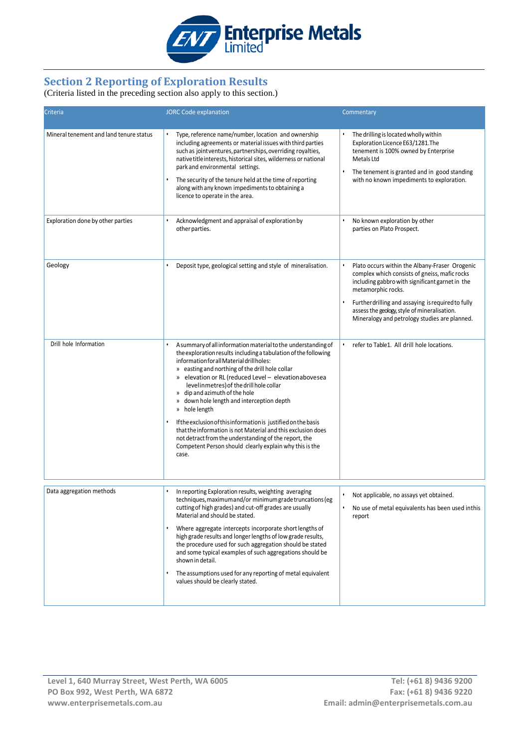

## **Section 2 Reporting of Exploration Results**

#### (Criteria listed in the preceding section also apply to this section.)

| Criteria                                | <b>JORC Code explanation</b>                                                                                                                                                                                                                                                                                                                                                                                                                                                                                                                                                                                                                                                                        | Commentary                                                                                                                                                                                                                                                                                                                      |  |  |
|-----------------------------------------|-----------------------------------------------------------------------------------------------------------------------------------------------------------------------------------------------------------------------------------------------------------------------------------------------------------------------------------------------------------------------------------------------------------------------------------------------------------------------------------------------------------------------------------------------------------------------------------------------------------------------------------------------------------------------------------------------------|---------------------------------------------------------------------------------------------------------------------------------------------------------------------------------------------------------------------------------------------------------------------------------------------------------------------------------|--|--|
| Mineral tenement and land tenure status | Type, reference name/number, location and ownership<br>including agreements or material issues with third parties<br>such as jointventures, partnerships, overriding royalties,<br>native title interests, historical sites, wilderness or national<br>park and environmental settings.<br>The security of the tenure held at the time of reporting<br>along with any known impediments to obtaining a<br>licence to operate in the area.                                                                                                                                                                                                                                                           | The drilling is located wholly within<br>Exploration Licence E63/1281.The<br>tenement is 100% owned by Enterprise<br>Metals Ltd<br>The tenement is granted and in good standing<br>with no known impediments to exploration.                                                                                                    |  |  |
| Exploration done by other parties       | Acknowledgment and appraisal of exploration by<br>other parties.                                                                                                                                                                                                                                                                                                                                                                                                                                                                                                                                                                                                                                    | No known exploration by other<br>parties on Plato Prospect.                                                                                                                                                                                                                                                                     |  |  |
| Geology                                 | Deposit type, geological setting and style of mineralisation.                                                                                                                                                                                                                                                                                                                                                                                                                                                                                                                                                                                                                                       | Plato occurs within the Albany-Fraser Orogenic<br>complex which consists of gneiss, mafic rocks<br>including gabbro with significant garnet in the<br>metamorphic rocks.<br>Further drilling and assaying is required to fully<br>assess the geology, style of mineralisation.<br>Mineralogy and petrology studies are planned. |  |  |
| Drill hole Information                  | A summary of all information material to the understanding of<br>the exploration results including a tabulation of the following<br>information for all Material drill holes:<br>» easting and northing of the drill hole collar<br>» elevation or RL (reduced Level - elevationabovesea<br>level in metres) of the drill hole collar<br>» dip and azimuth of the hole<br>» down hole length and interception depth<br>» hole length<br>If the exclusion of this information is justified on the basis<br>that the information is not Material and this exclusion does<br>not detract from the understanding of the report, the<br>Competent Person should clearly explain why this is the<br>case. | refer to Table1. All drill hole locations.                                                                                                                                                                                                                                                                                      |  |  |
| Data aggregation methods                | In reporting Exploration results, weighting averaging<br>techniques, maximum and/or minimum grade truncations (eg<br>cutting of high grades) and cut-off grades are usually<br>Material and should be stated.<br>Where aggregate intercepts incorporate short lengths of<br>high grade results and longer lengths of low grade results,<br>the procedure used for such aggregation should be stated<br>and some typical examples of such aggregations should be<br>shown in detail.<br>The assumptions used for any reporting of metal equivalent<br>values should be clearly stated.                                                                                                               | Not applicable, no assays yet obtained.<br>No use of metal equivalents has been used inthis<br>report                                                                                                                                                                                                                           |  |  |